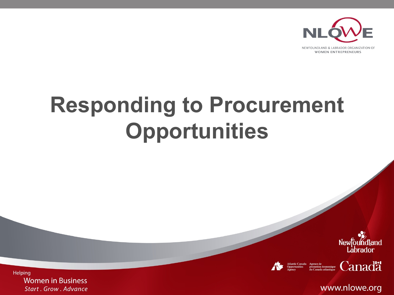

**Responding to Procurement Opportunities** 





 $\int_{\text{d}u \text{ Canada}}^{\text{Agence de}} \text{de}$ 

www.nlowe.org

Helping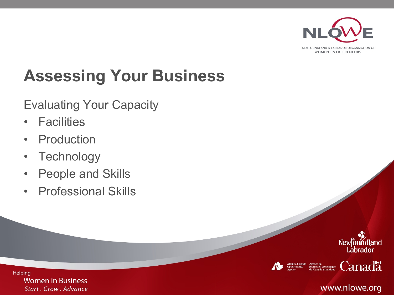

NEWFOUNDLAND & LABRADOR ORGANIZATION OF **WOMEN ENTREPRENEURS** 

# **Assessing Your Business**

#### Evaluating Your Capacity

- Facilities
- Production
- Technology
- People and Skills
- Professional Skills







 $\Gamma_{\text{d}}^{\text{Agence de}}$  de promotion économique  $\Gamma_{\text{d}}$ 

#### www.nlowe.org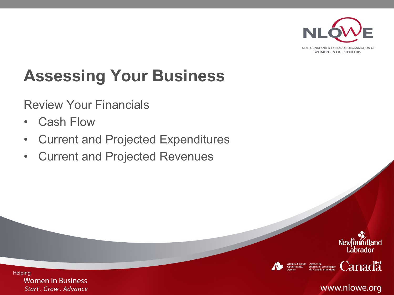

**WOMEN ENTREPRENEURS** 

# **Assessing Your Business**

Review Your Financials

- Cash Flow
- Current and Projected Expenditures
- Current and Projected Revenues





 $\Gamma_{\text{approx}}^{\text{Agence de}}$  de promotion économique  $\text{Canda}$ 

www.nlowe.org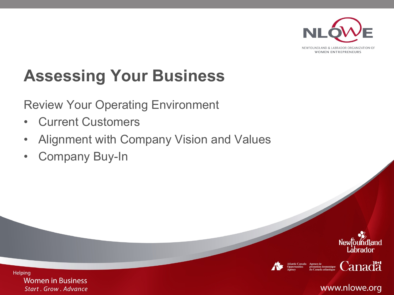

### **Assessing Your Business**

Review Your Operating Environment

- Current Customers
- Alignment with Company Vision and Values
- Company Buy-In







 $\Gamma_{\text{approx}}^{\text{Agence de}}$  de promotion économique  $\text{Canda}$ 

www.nlowe.org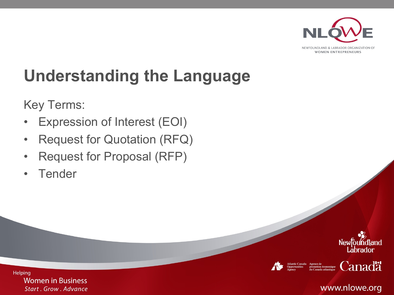

**WOMEN ENTREPRENEURS** 

# **Understanding the Language**

Key Terms:

- Expression of Interest (EOI)
- Request for Quotation (RFQ)
- Request for Proposal (RFP)
- Tender







**Canadä** 

www.nlowe.org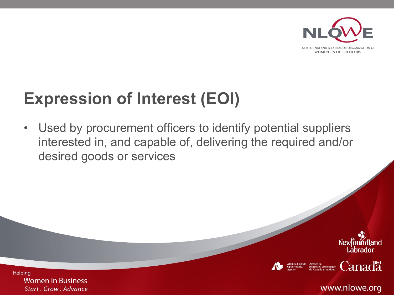

#### **Expression of Interest (EOI)**

• Used by procurement officers to identify potential suppliers interested in, and capable of, delivering the required and/or desired goods or services







**Canadä** 

www.nlowe.org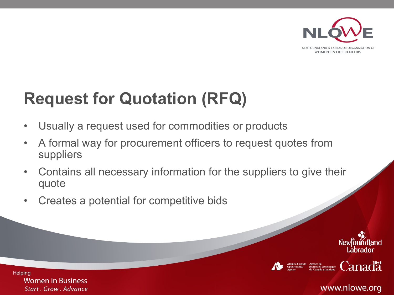

#### **Request for Quotation (RFQ)**

- Usually a request used for commodities or products
- A formal way for procurement officers to request quotes from suppliers
- Contains all necessary information for the suppliers to give their quote
- Creates a potential for competitive bids







**Canadä** 

www.nlowe.org

**Helping**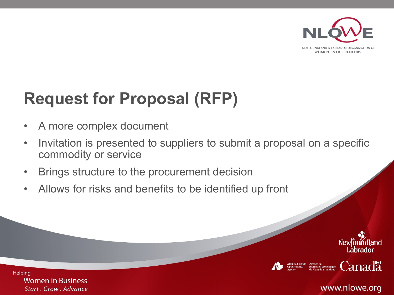

#### **Request for Proposal (RFP)**

- A more complex document
- Invitation is presented to suppliers to submit a proposal on a specific commodity or service
- Brings structure to the procurement decision
- Allows for risks and benefits to be identified up front







**Canadä** 

www.nlowe.org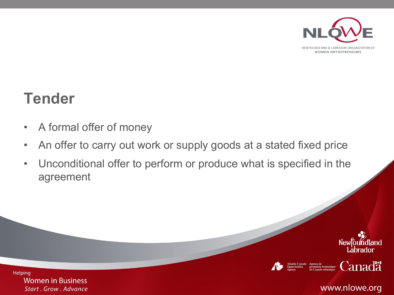

#### **Tender**

- A formal offer of money
- An offer to carry out work or supply goods at a stated fixed price
- Unconditional offer to perform or produce what is specified in the agreement









www.nlowe.org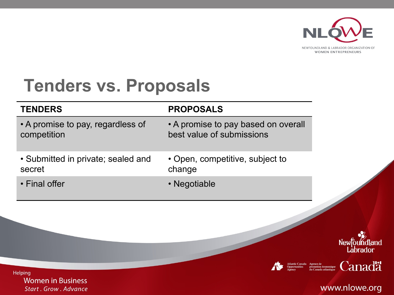

**Tenders vs. Proposals**

| <b>TENDERS</b>                     | <b>PROPOSALS</b>                    |
|------------------------------------|-------------------------------------|
| • A promise to pay, regardless of  | • A promise to pay based on overall |
| competition                        | best value of submissions           |
| • Submitted in private; sealed and | • Open, competitive, subject to     |
| secret                             | change                              |
| • Final offer                      | • Negotiable                        |



 $\mathcal{L}$ <br>promotion économique  $\mathcal{C}$ anada atlantique  $\mathcal{C}$ anada  $\mathcal{C}$ 

#### www.nlowe.org

**Women in Business** Start . Grow . Advance

Helping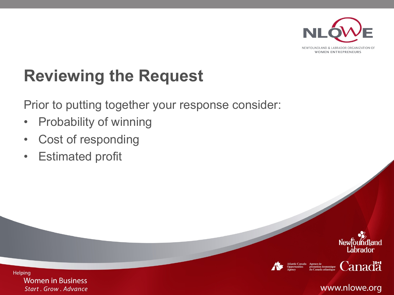

#### **Reviewing the Request**

Prior to putting together your response consider:

- Probability of winning
- Cost of responding
- Estimated profit







**Canadä** 

#### www.nlowe.org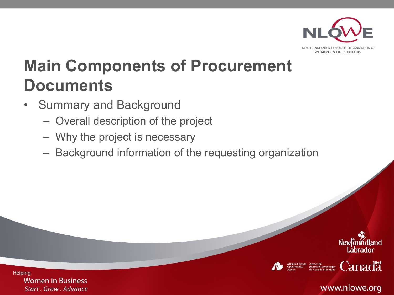

NEWFOLINDLAND & LARRADOR ORGANIZATION OF **WOMEN ENTREPRENEURS** 

# **Main Components of Procurement Documents**

- Summary and Background
	- Overall description of the project
	- Why the project is necessary
	- Background information of the requesting organization





 $\Gamma_{\text{approx}}^{\text{Agence de}}$  de promotion économique  $\text{Canda}$ 

www.nlowe.org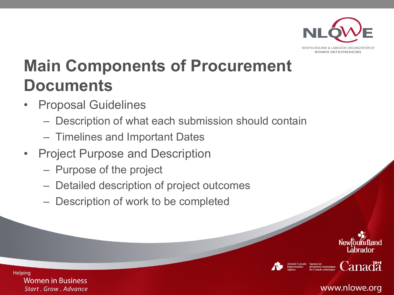

NEWEOUNDLAND & LABRADOR ORGANIZAT **WOMEN ENTREPRENEURS** 

# **Main Components of Procurement Documents**

- Proposal Guidelines
	- Description of what each submission should contain
	- Timelines and Important Dates
- Project Purpose and Description
	- Purpose of the project
	- Detailed description of project outcomes
	- Description of work to be completed









**Helping Women in Business Start . Grow . Advance** 

#### www.nlowe.org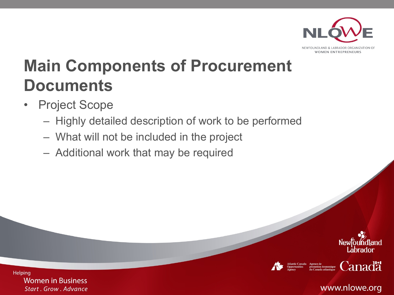

NEWFOUNDLAND & LABRADOR ORGANIZATION OF **WOMEN ENTREPRENEURS** 

# **Main Components of Procurement Documents**

- Project Scope
	- Highly detailed description of work to be performed
	- What will not be included in the project
	- Additional work that may be required







 $\Gamma_{\text{approx}}^{\text{Agence de}}$  de promotion économique  $\text{Canda}$ 

#### www.nlowe.org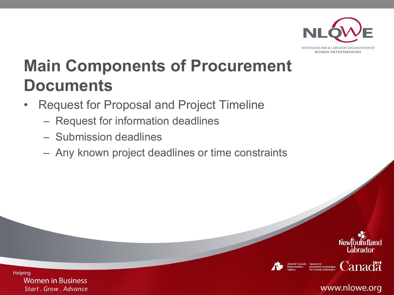

NEWFOUNDLAND & LARRADOR ORGANIZATION O **WOMEN ENTREPRENEURS** 

# **Main Components of Procurement Documents**

- Request for Proposal and Project Timeline
	- Request for information deadlines
	- Submission deadlines
	- Any known project deadlines or time constraints









www.nlowe.org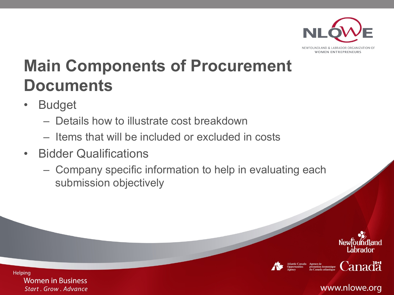

NEWFOLINDLAND & LARRADOR ORGANIZATION O **WOMEN ENTREPRENEURS** 

# **Main Components of Procurement Documents**

- Budget
	- Details how to illustrate cost breakdown
	- Items that will be included or excluded in costs
- Bidder Qualifications
	- Company specific information to help in evaluating each submission objectively





 $\mathcal{L}$ <br>
promotion économique **Canada**<br>
du Canada atlantique **Canada** 

www.nlowe.org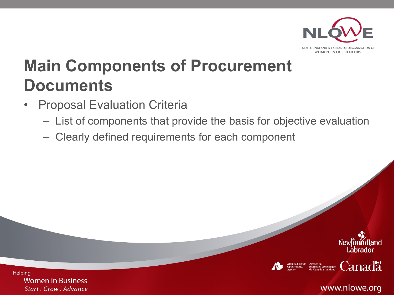

**WOMEN ENTREPRENEURS** 

# **Main Components of Procurement Documents**

- Proposal Evaluation Criteria
	- List of components that provide the basis for objective evaluation
	- Clearly defined requirements for each component







 $\mathcal{L}_{\substack{\text{promonic dc}\\ \text{du Canada adland}} }$  Canada atlantique

www.nlowe.org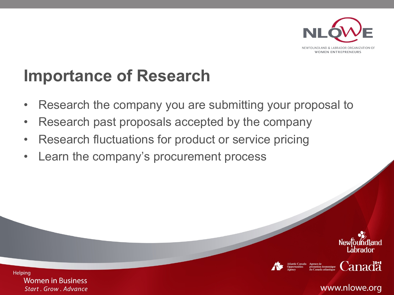

#### **Importance of Research**

- Research the company you are submitting your proposal to
- Research past proposals accepted by the company
- Research fluctuations for product or service pricing
- Learn the company's procurement process





**Canadä** 

www.nlowe.org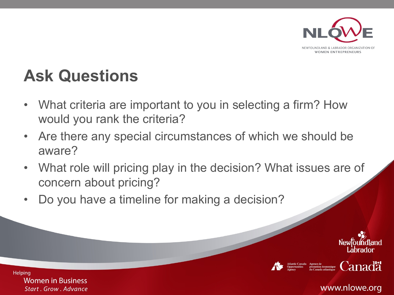

#### **Ask Questions**

- What criteria are important to you in selecting a firm? How would you rank the criteria?
- Are there any special circumstances of which we should be aware?
- What role will pricing play in the decision? What issues are of concern about pricing?
- Do you have a timeline for making a decision?







 $\mathcal{L}_{\text{quenched}}^{\text{Agence de}}$  de conomique  $\text{Canda}$ 

www.nlowe.org

**Helping**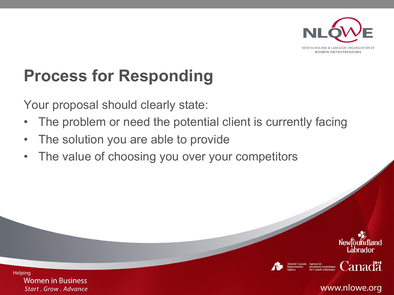

#### **Process for Responding**

Your proposal should clearly state:

- The problem or need the potential client is currently facing
- The solution you are able to provide
- The value of choosing you over your competitors







**Canadä** 

www.nlowe.org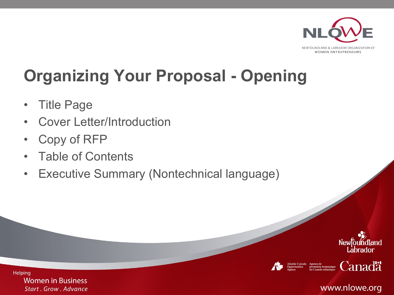

# **Organizing Your Proposal - Opening**

- Title Page
- Cover Letter/Introduction
- Copy of RFP
- Table of Contents
- Executive Summary (Nontechnical language)







 $\mathcal{L}_{\substack{\text{promotion}}_{\text{du Canada adlandia}}}\n \text{Gamma} \left\{\text{Cand}\right\}$ 

#### www.nlowe.org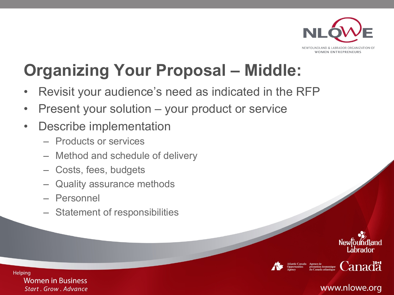

### **Organizing Your Proposal – Middle:**

- Revisit your audience's need as indicated in the RFP
- Present your solution your product or service
- Describe implementation
	- Products or services
	- Method and schedule of delivery
	- Costs, fees, budgets
	- Quality assurance methods
	- Personnel
	- Statement of responsibilities







 $\Gamma_{\text{d}}^{\text{Agence de}}$  de promotion économique  $\text{Canda}$ 

#### www.nlowe.org

**Helping**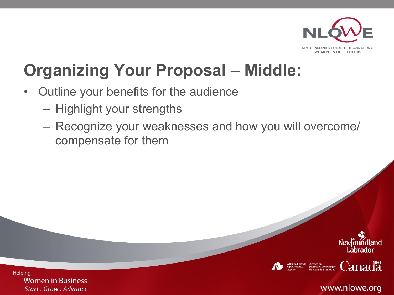

#### **Organizing Your Proposal – Middle:**

- Outline your benefits for the audience
	- Highlight your strengths
	- Recognize your weaknesses and how you will overcome/ compensate for them







 $\Gamma_{\text{approx}}^{\text{Agence de}}$  de promotion économique  $\text{Canda}$ 

www.nlowe.org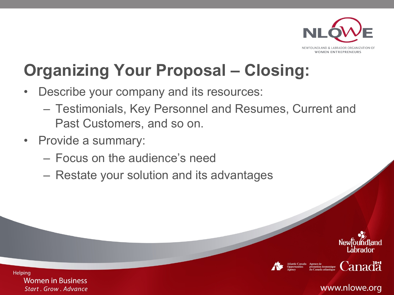

#### **Organizing Your Proposal – Closing:**

- Describe your company and its resources:
	- Testimonials, Key Personnel and Resumes, Current and Past Customers, and so on.
- Provide a summary:
	- Focus on the audience's need
	- Restate your solution and its advantages









www.nlowe.org

**Helping Women in Business** 

**Start . Grow . Advance**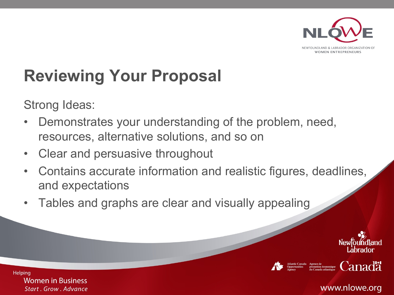

# **Reviewing Your Proposal**

Strong Ideas:

- Demonstrates your understanding of the problem, need, resources, alternative solutions, and so on
- Clear and persuasive throughout
- Contains accurate information and realistic figures, deadlines, and expectations
- Tables and graphs are clear and visually appealing







 $\Gamma^{\text{degree de}}_{\text{on}}$  Consolidue  $\Gamma^{\text{non-coloric}}_{\text{out}}$   $\Gamma^{\text{on}}_{\text{out}}$ 

www.nlowe.org

**Helping**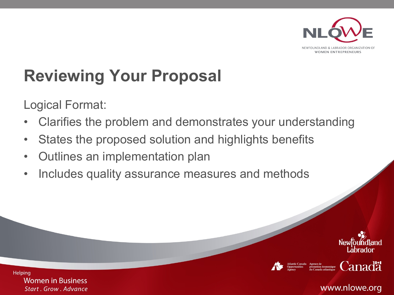

# **Reviewing Your Proposal**

Logical Format:

- Clarifies the problem and demonstrates your understanding
- States the proposed solution and highlights benefits
- Outlines an implementation plan
- Includes quality assurance measures and methods









www.nlowe.org

**Helping**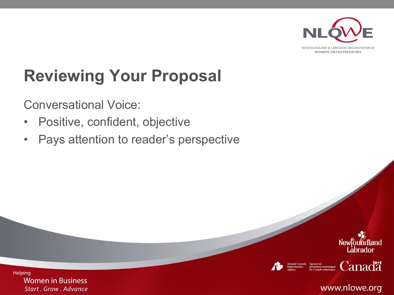

**WOMEN ENTREPRENEURS** 

# **Reviewing Your Proposal**

Conversational Voice:

- Positive, confident, objective
- Pays attention to reader's perspective





Agence de<br>promotion é économique

**Canadä** 

www.nlowe.org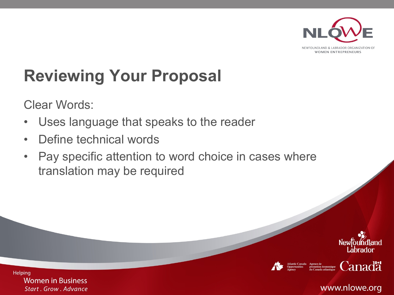

### **Reviewing Your Proposal**

Clear Words:

- Uses language that speaks to the reader
- Define technical words
- Pay specific attention to word choice in cases where translation may be required







 $\Gamma_{\text{approx}}^{\text{Agence de}}$  de promotion économique  $\text{Canda}$ 

**Helping Women in Business Start . Grow . Advance** 

www.nlowe.org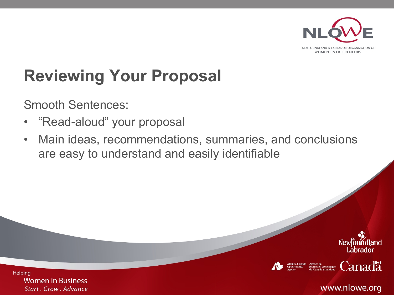

**Reviewing Your Proposal** 

Smooth Sentences:

- "Read-aloud" your proposal
- Main ideas, recommendations, summaries, and conclusions are easy to understand and easily identifiable







 $\mathop {\rm diam}_{\rm equivalence}^{\rm composite}$  Canada

www.nlowe.org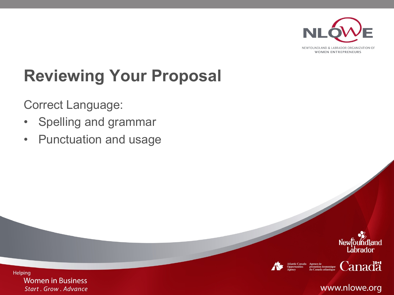

NEWFOUNDLAND & LABRADOR ORGANIZATION OF **WOMEN ENTREPRENEURS** 

# **Reviewing Your Proposal**

Correct Language:

- Spelling and grammar
- Punctuation and usage





Agence de<br>promotion économique

**Canadä** 

www.nlowe.org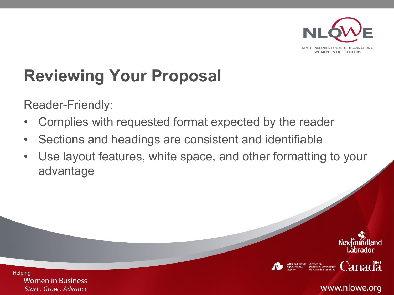

## **Reviewing Your Proposal**

Reader-Friendly:

- Complies with requested format expected by the reader
- Sections and headings are consistent and identifiable
- Use layout features, white space, and other formatting to your advantage







**Canadä** 

www.nlowe.org